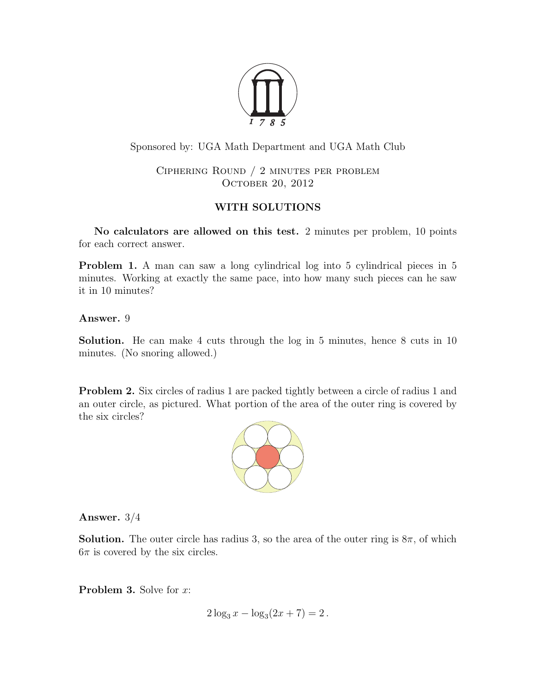

## Sponsored by: UGA Math Department and UGA Math Club

Ciphering Round / 2 minutes per problem OCTOBER 20, 2012

## WITH SOLUTIONS

No calculators are allowed on this test. 2 minutes per problem, 10 points for each correct answer.

Problem 1. A man can saw a long cylindrical log into 5 cylindrical pieces in 5 minutes. Working at exactly the same pace, into how many such pieces can he saw it in 10 minutes?

Answer. 9

Solution. He can make 4 cuts through the log in 5 minutes, hence 8 cuts in 10 minutes. (No snoring allowed.)

**Problem 2.** Six circles of radius 1 are packed tightly between a circle of radius 1 and an outer circle, as pictured. What portion of the area of the outer ring is covered by the six circles?



Answer. 3/4

**Solution.** The outer circle has radius 3, so the area of the outer ring is  $8\pi$ , of which  $6\pi$  is covered by the six circles.

**Problem 3.** Solve for x:

$$
2\log_3 x - \log_3(2x+7) = 2.
$$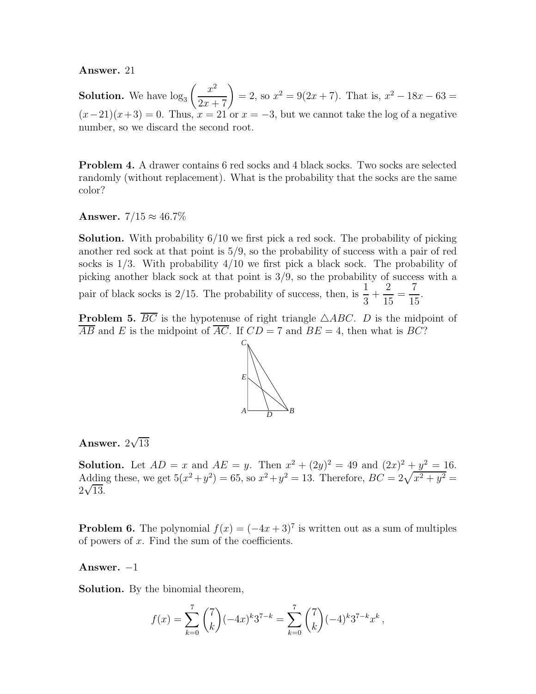Answer. 21

**Solution.** We have  $\log_3\left(\frac{x^2}{2x+7}\right)$  $= 2$ , so  $x^2 = 9(2x + 7)$ . That is,  $x^2 - 18x - 63 = 0$  $(x-21)(x+3) = 0$ . Thus,  $x = 21$  or  $x = -3$ , but we cannot take the log of a negative number, so we discard the second root.

**Problem 4.** A drawer contains 6 red socks and 4 black socks. Two socks are selected randomly (without replacement). What is the probability that the socks are the same color?

Answer.  $7/15 \approx 46.7\%$ 

Solution. With probability 6/10 we first pick a red sock. The probability of picking another red sock at that point is 5/9, so the probability of success with a pair of red socks is 1/3. With probability 4/10 we first pick a black sock. The probability of picking another black sock at that point is 3/9, so the probability of success with a pair of black socks is 2/15. The probability of success, then, is  $\frac{1}{2}$ 3  $+$ 2 15 = 7 15 .

**Problem 5.**  $\overline{BC}$  is the hypotenuse of right triangle  $\triangle ABC$ . D is the midpoint of  $\overline{AB}$  and E is the midpoint of  $\overline{AC}$ . If  $CD = 7$  and  $BE = 4$ , then what is  $BC$ ?



# Answer.  $2\sqrt{13}$

**Solution.** Let  $AD = x$  and  $AE = y$ . Then  $x^2 + (2y)^2 = 49$  and  $(2x)^2 + y^2 = 16$ . Adding these, we get  $5(x^2 + y^2) = 65$ , so  $x^2 + y^2 = 13$ . Therefore,  $BC = 2\sqrt{x^2 + y^2} =$  $2\sqrt{13}$ .

**Problem 6.** The polynomial  $f(x) = (-4x+3)^7$  is written out as a sum of multiples of powers of  $x$ . Find the sum of the coefficients.

### Answer.  $-1$

Solution. By the binomial theorem,

$$
f(x) = \sum_{k=0}^{7} {7 \choose k} (-4x)^k 3^{7-k} = \sum_{k=0}^{7} {7 \choose k} (-4)^k 3^{7-k} x^k,
$$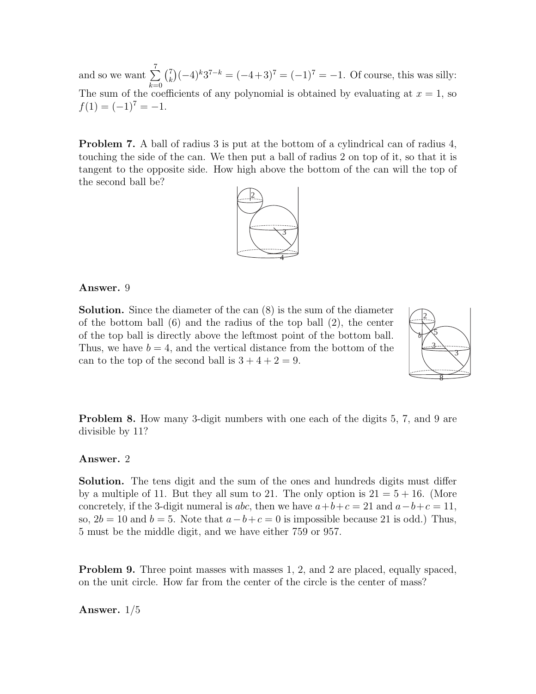and so we want  $\Sigma$ 7  $\bar{k=0}$  $\binom{7}{k}$  ${k \choose k} (-4)^k 3^{7-k} = (-4+3)^7 = (-1)^7 = -1.$  Of course, this was silly: The sum of the coefficients of any polynomial is obtained by evaluating at  $x = 1$ , so  $f(1) = (-1)^7 = -1.$ 

Problem 7. A ball of radius 3 is put at the bottom of a cylindrical can of radius 4, touching the side of the can. We then put a ball of radius 2 on top of it, so that it is tangent to the opposite side. How high above the bottom of the can will the top of the second ball be?



### Answer. 9

Solution. Since the diameter of the can (8) is the sum of the diameter of the bottom ball (6) and the radius of the top ball (2), the center of the top ball is directly above the leftmost point of the bottom ball. Thus, we have  $b = 4$ , and the vertical distance from the bottom of the can to the top of the second ball is  $3 + 4 + 2 = 9$ .



**Problem 8.** How many 3-digit numbers with one each of the digits 5, 7, and 9 are divisible by 11?

#### Answer. 2

Solution. The tens digit and the sum of the ones and hundreds digits must differ by a multiple of 11. But they all sum to 21. The only option is  $21 = 5 + 16$ . (More concretely, if the 3-digit numeral is abc, then we have  $a+b+c=21$  and  $a-b+c=11$ , so,  $2b = 10$  and  $b = 5$ . Note that  $a - b + c = 0$  is impossible because 21 is odd.) Thus, 5 must be the middle digit, and we have either 759 or 957.

**Problem 9.** Three point masses with masses 1, 2, and 2 are placed, equally spaced, on the unit circle. How far from the center of the circle is the center of mass?

Answer. 1/5